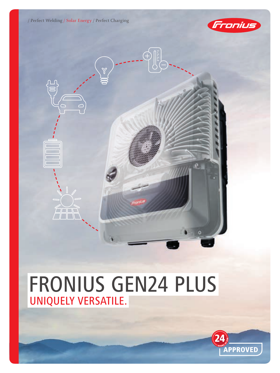/ Perfect Welding / Solar Energy / Perfect Charging

 $\Box\Box$ 



ö

# FRONIUS GEN24 PLUS UNIQUELY VERSATILE.

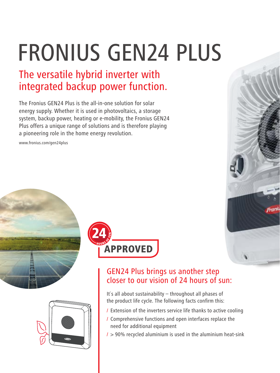# FRONIUS GEN24 PLUS

# The versatile hybrid inverter with integrated backup power function.

The Fronius GEN24 Plus is the all-in-one solution for solar energy supply. Whether it is used in photovoltaics, a storage system, backup power, heating or e-mobility, the Fronius GEN24 Plus offers a unique range of solutions and is therefore playing a pioneering role in the home energy revolution.

www.fronius.com/gen24plus







# GEN24 Plus brings us another step closer to our vision of 24 hours of sun:

It`s all about sustainability – throughout all phases of the product life cycle. The following facts confirm this:

- / Extension of the inverters service life thanks to active cooling
- / Comprehensive functions and open interfaces replace the need for additional equipment
- $/$  > 90% recycled aluminium is used in the aluminium heat-sink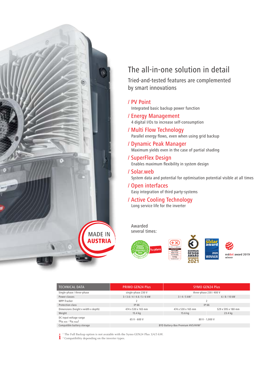

# The all-in-one solution in detail

Tried-and-tested features are complemented by smart innovations

#### / PV Point

Integrated basic backup power function

- / Energy Management 4 digital I/Os to increase self-consumption
- / Multi Flow Technology Parallel energy flows, even when using grid backup
- / Dynamic Peak Manager Maximum yields even in the case of partial shading
- / SuperFlex Design Enables maximum flexibility in system design

#### / Solar.web

System data and potential for optimisation potential visible at all times

### / Open interfaces

Easy integration of third party-systems

#### / Active Cooling Technology Long service life for the inverter

Awarded several times:



| <b>TECHNICAL DATA</b>                                 | <b>PRIMO GEN24 Plus</b>                      | <b>SYMO GEN24 Plus</b>  |                    |
|-------------------------------------------------------|----------------------------------------------|-------------------------|--------------------|
| Single-phase / three-phase                            | single-phase 230 V                           | three-phase 230 / 400 V |                    |
| Power classes                                         | 3/3.6/4/4.6/5/6 kW                           | $3/4/5$ kW <sup>1</sup> | 6/8/10 kW          |
| MPP-Tracker                                           |                                              |                         |                    |
| Protection class                                      | IP 66                                        | IP 66                   |                    |
| Dimensions (height x width x depth)                   | 474 x 530 x 165 mm                           | 474 x 530 x 165 mm      | 529 x 595 x 180 mm |
| Weight                                                | $15.4$ kg                                    | 15.6 kg                 | $23.4$ kg          |
| DC input voltage range<br>$(U_{dc,min} - U_{dc,max})$ | $65 V - 600 V$                               | 80 V - 1.000 V          |                    |
| Compatible battery storage                            | BYD Battery-Box Premium HVS/HVM <sup>2</sup> |                         |                    |

<sup>1</sup> The Full Backup option is not avaiable with the Symo GEN24 Plus 3/4/5 kW.

 $\frac{1}{2}$  <sup>1</sup> The Full Backup option is not avaiable with the <sup>2</sup> Compatibility depending on the inverter types.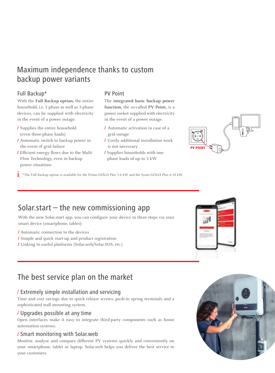# Maximum independence thanks to custom backup power variants

# Full Backup\*

With the **Full Backup option,** the entire household, i.e. 1-phase as well as 3-phase devices, can be supplied with electricity in the event of a power outage.

- / Supplies the entire household (even three-phase loads)
- / Automatic switch to backup power in the event of grid failure
- / Efficient energy flows due to the Multi Flow Technology, even in backup power situations

## PV Point

The **integrated basic backup power function,** the so-called **PV Point,** is a power socket supplied with electricity in the event of a power outage.

- / Automatic activation in case of a grid outage
- / Costly additional installation work is not necessary
- / Supplies households with onephase loads of up to 3 kW



**i** \*The Full Backup option is available for the Primo GEN24 Plus 3-6 kW and the Symo GEN24 Plus 6-10 kW.

# Solar.start  $-$  the new commissioning app

With the new Solar.start app, you can configure your device in three steps via your smart device (smartphone, tablet):

/ Automatic connection to the devices

- / Simple and quick start-up and product registration
- / Linking to useful platforms (Solar.web/Solar.SOS, etc.)



# The best service plan on the market

# / Extremely simple installation and servicing

Time and cost savings due to quick-release screws, push-in spring terminals and a sophisticated wall mounting system.

## / Upgrades possible at any time

Open interfaces make it easy to integrate third-party components such as home automation systems.

## / Smart monitoring with Solar.web

Monitor, analyse and compare different PV systems quickly and conveniently on your smartphone, tablet or laptop. Solar.web helps you deliver the best service to your customers.

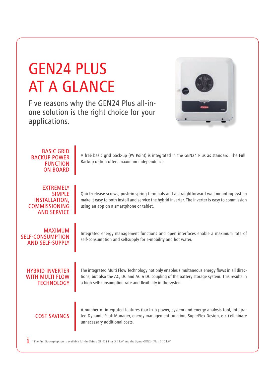# GEN24 PLUS AT A GLANCE

Five reasons why the GEN24 Plus all-inone solution is the right choice for your applications.



| <b>BASIC GRID</b><br><b>BACKUP POWER</b><br><b>FUNCTION</b><br><b>ON BOARD</b>                          | A free basic grid back-up (PV Point) is integrated in the GEN24 Plus as standard. The Full<br>Backup option offers maximum independence.                                                                                                                       |
|---------------------------------------------------------------------------------------------------------|----------------------------------------------------------------------------------------------------------------------------------------------------------------------------------------------------------------------------------------------------------------|
| <b>EXTREMELY</b><br><b>SIMPLE</b><br><b>INSTALLATION,</b><br><b>COMMISSIONING</b><br><b>AND SERVICE</b> | Quick-release screws, push-in spring terminals and a straightforward wall mounting system<br>make it easy to both install and service the hybrid inverter. The inverter is easy to commission<br>using an app on a smartphone or tablet.                       |
| <b>MAXIMUM</b><br><b>SELF-CONSUMPTION</b><br><b>AND SELF-SUPPLY</b>                                     | Integrated energy management functions and open interfaces enable a maximum rate of<br>self-consumption and selfsupply for e-mobility and hot water.                                                                                                           |
| <b>HYBRID INVERTER</b><br>WITH MULTI FLOW<br><b>TECHNOLOGY</b>                                          | The integrated Multi Flow Technology not only enables simultaneous energy flows in all direc-<br>tions, but also the AC, DC and AC & DC coupling of the battery storage system. This results in<br>a high self-consumption rate and flexibility in the system. |
| <b>COST SAVINGS</b>                                                                                     | A number of integrated features (back-up power, system and energy analysis tool, integra-<br>ted Dynamic Peak Manager, energy management function, SuperFlex Design, etc.) eliminate<br>unnecessary additional costs.                                          |

 $\mathbf{i}$  \* The Full Backup option is available for the Primo GEN24 Plus 3-6 kW and the Symo GEN24 Plus 6-10 kW.